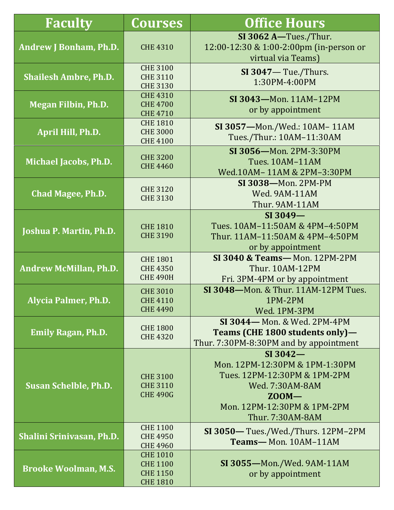| <b>Faculty</b>                   | Courses                                                                  | <b>Office Hours</b>                                                                                                                                               |  |
|----------------------------------|--------------------------------------------------------------------------|-------------------------------------------------------------------------------------------------------------------------------------------------------------------|--|
| <b>Andrew J Bonham, Ph.D.</b>    | <b>CHE 4310</b>                                                          | SI 3062 A-Tues./Thur.<br>12:00-12:30 & 1:00-2:00pm (in-person or<br>virtual via Teams)                                                                            |  |
| <b>Shailesh Ambre, Ph.D.</b>     | <b>CHE 3100</b><br><b>CHE 3110</b><br><b>CHE 3130</b>                    | $SI$ 3047 $-$ Tue./Thurs.<br>1:30PM-4:00PM                                                                                                                        |  |
| <b>Megan Filbin, Ph.D.</b>       | <b>CHE 4310</b><br><b>CHE 4700</b><br><b>CHE 4710</b>                    | SI 3043-Mon. 11AM-12PM<br>or by appointment                                                                                                                       |  |
| April Hill, Ph.D.                | <b>CHE 1810</b><br><b>CHE 3000</b><br><b>CHE 4100</b>                    | SI 3057-Mon./Wed.: 10AM-11AM<br>Tues./Thur.: 10AM-11:30AM                                                                                                         |  |
| <b>Michael Jacobs, Ph.D.</b>     | <b>CHE 3200</b><br><b>CHE 4460</b>                                       | SI 3056-Mon. 2PM-3:30PM<br><b>Tues. 10AM-11AM</b><br>Wed.10AM-11AM & 2PM-3:30PM                                                                                   |  |
| <b>Chad Magee, Ph.D.</b>         | <b>CHE 3120</b><br><b>CHE 3130</b>                                       | SI 3038-Mon. 2PM-PM<br>Wed. 9AM-11AM<br>Thur. 9AM-11AM                                                                                                            |  |
| <b>Joshua P. Martin, Ph.D.</b>   | <b>CHE 1810</b><br><b>CHE 3190</b>                                       | $SI$ 3049 $-$<br>Tues. 10AM-11:50AM & 4PM-4:50PM<br>Thur. 11AM-11:50AM & 4PM-4:50PM<br>or by appointment                                                          |  |
| <b>Andrew McMillan, Ph.D.</b>    | <b>CHE 1801</b><br><b>CHE 4350</b><br><b>CHE 490H</b>                    | SI 3040 & Teams-Mon. 12PM-2PM<br><b>Thur. 10AM-12PM</b><br>Fri. 3PM-4PM or by appointment                                                                         |  |
| <b>Alycia Palmer, Ph.D.</b>      | <b>CHE 3010</b><br><b>CHE 4110</b><br><b>CHE 4490</b>                    | SI 3048-Mon. & Thur. 11AM-12PM Tues.<br>1PM-2PM<br>Wed. 1PM-3PM                                                                                                   |  |
| <b>Emily Ragan, Ph.D.</b>        | <b>CHE 1800</b><br><b>CHE 4320</b>                                       | SI 3044-Mon. & Wed. 2PM-4PM<br>Teams (CHE 1800 students only)-<br>Thur. 7:30PM-8:30PM and by appointment                                                          |  |
| <b>Susan Schelble, Ph.D.</b>     | <b>CHE 3100</b><br><b>CHE 3110</b><br><b>CHE 490G</b>                    | $SI$ 3042 $-$<br>Mon. 12PM-12:30PM & 1PM-1:30PM<br>Tues. 12PM-12:30PM & 1PM-2PM<br>Wed. 7:30AM-8AM<br>$Z00M -$<br>Mon. 12PM-12:30PM & 1PM-2PM<br>Thur. 7:30AM-8AM |  |
| <b>Shalini Srinivasan, Ph.D.</b> | <b>CHE 1100</b><br><b>CHE 4950</b><br><b>CHE 4960</b>                    | SI 3050-Tues./Wed./Thurs. 12PM-2PM<br>Teams-Mon. 10AM-11AM                                                                                                        |  |
| <b>Brooke Woolman, M.S.</b>      | <b>CHE 1010</b><br><b>CHE 1100</b><br><b>CHE 1150</b><br><b>CHE 1810</b> | SI 3055-Mon./Wed. 9AM-11AM<br>or by appointment                                                                                                                   |  |